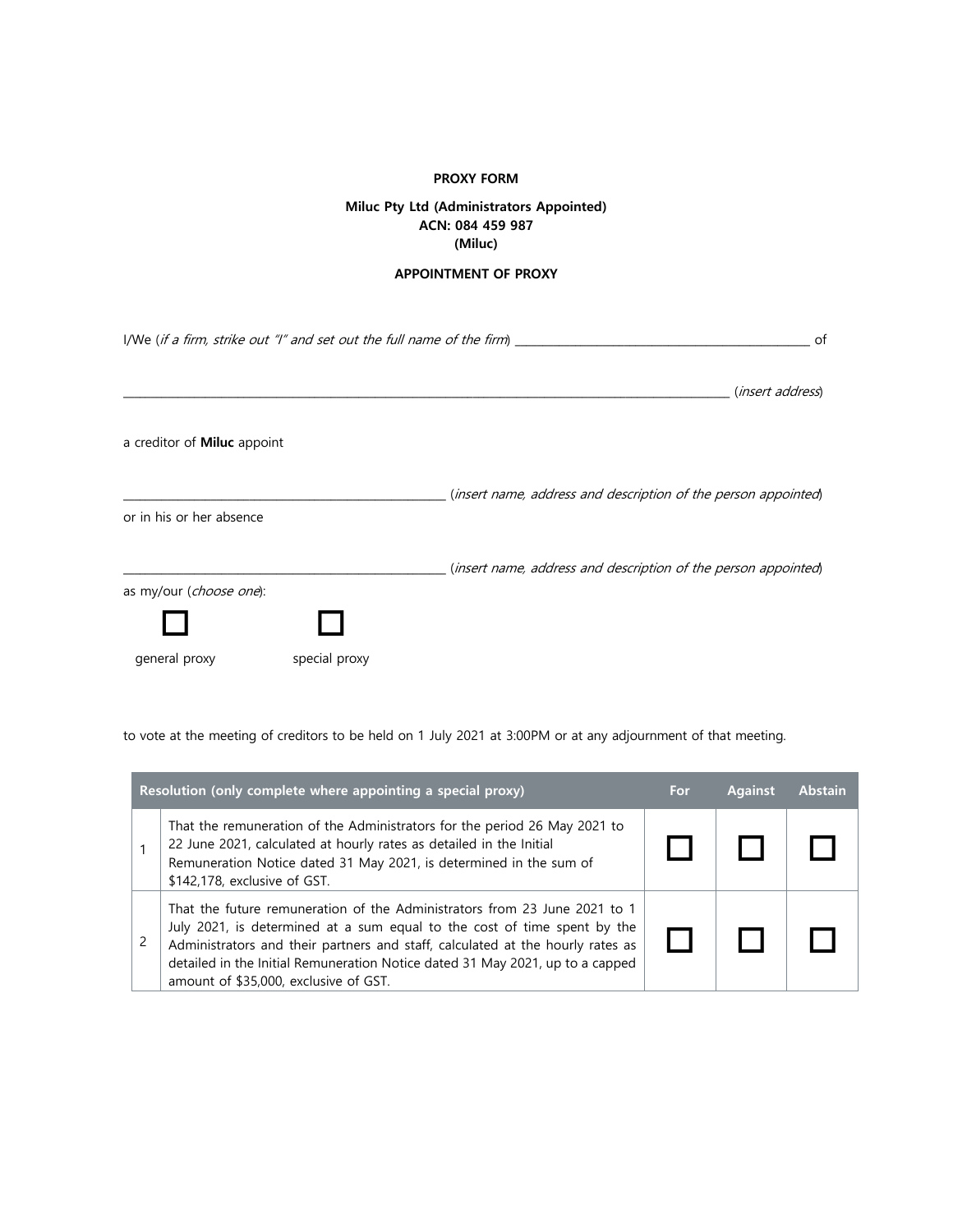## **PROXY FORM**

## **Miluc Pty Ltd (Administrators Appointed) ACN: 084 459 987 (Miluc)**

## **APPOINTMENT OF PROXY**

| I/We (if a firm, strike out "I" and set out the full name of the firm) $\frac{1}{\sqrt{2\pi}}$ |               |                                                                | of |
|------------------------------------------------------------------------------------------------|---------------|----------------------------------------------------------------|----|
|                                                                                                |               | ( <i>insert address</i> )                                      |    |
| a creditor of <b>Miluc</b> appoint                                                             |               |                                                                |    |
| or in his or her absence                                                                       |               | (insert name, address and description of the person appointed) |    |
| as my/our (choose one):                                                                        |               | (insert name, address and description of the person appointed) |    |
|                                                                                                |               |                                                                |    |
| general proxy                                                                                  | special proxy |                                                                |    |

to vote at the meeting of creditors to be held on 1 July 2021 at 3:00PM or at any adjournment of that meeting.

| Resolution (only complete where appointing a special proxy) |                                                                                                                                                                                                                                                                                                                                                                   | For | <b>Against</b> | <b>Abstain</b> |
|-------------------------------------------------------------|-------------------------------------------------------------------------------------------------------------------------------------------------------------------------------------------------------------------------------------------------------------------------------------------------------------------------------------------------------------------|-----|----------------|----------------|
|                                                             | That the remuneration of the Administrators for the period 26 May 2021 to<br>22 June 2021, calculated at hourly rates as detailed in the Initial<br>Remuneration Notice dated 31 May 2021, is determined in the sum of<br>\$142,178, exclusive of GST.                                                                                                            |     |                |                |
|                                                             | That the future remuneration of the Administrators from 23 June 2021 to 1<br>July 2021, is determined at a sum equal to the cost of time spent by the<br>Administrators and their partners and staff, calculated at the hourly rates as<br>detailed in the Initial Remuneration Notice dated 31 May 2021, up to a capped<br>amount of \$35,000, exclusive of GST. |     |                |                |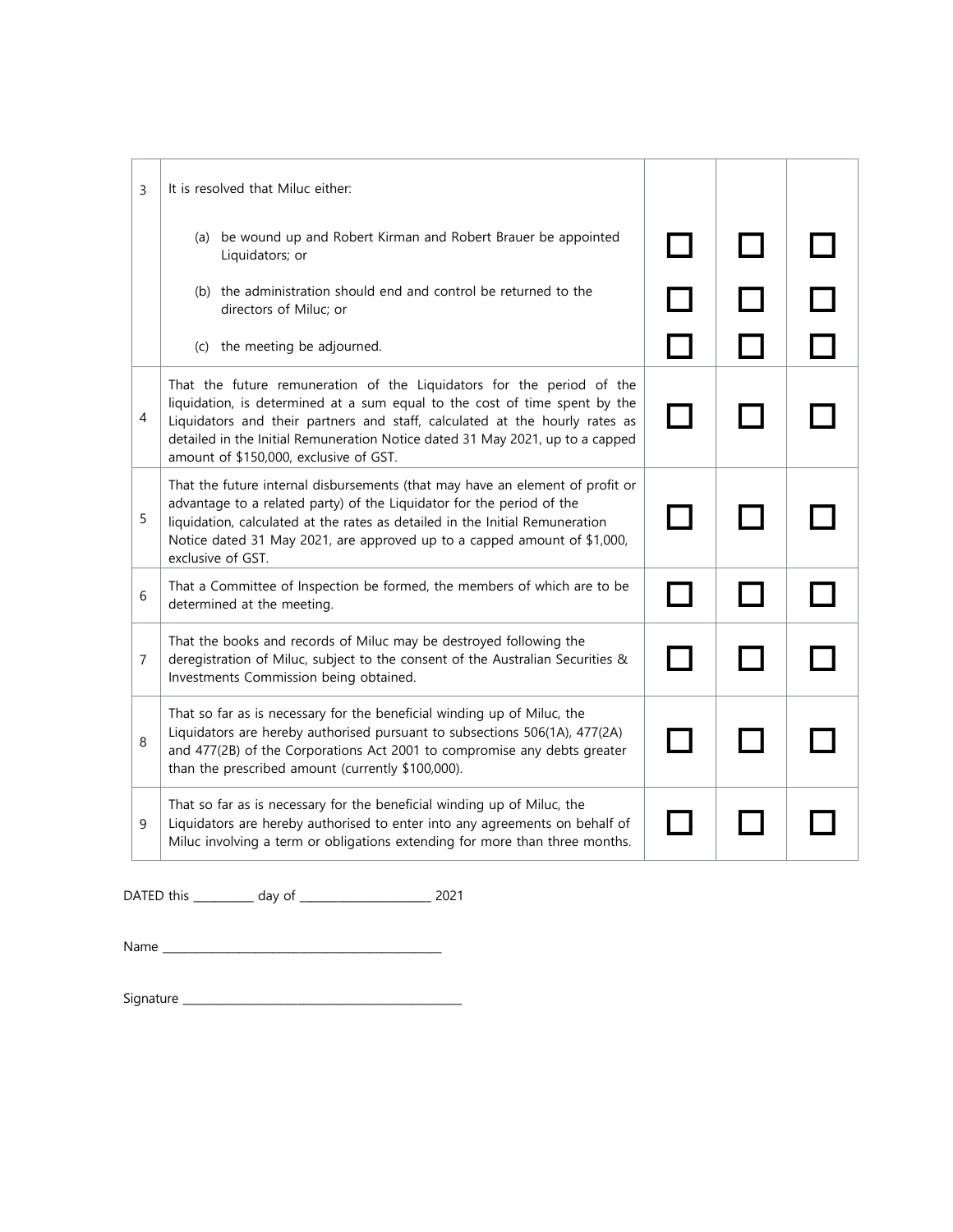| 3              | It is resolved that Miluc either:                                                                                                                                                                                                                                                                                                                             |                     |  |
|----------------|---------------------------------------------------------------------------------------------------------------------------------------------------------------------------------------------------------------------------------------------------------------------------------------------------------------------------------------------------------------|---------------------|--|
|                | (a) be wound up and Robert Kirman and Robert Brauer be appointed<br>Liquidators; or                                                                                                                                                                                                                                                                           | <b>The Contract</b> |  |
|                | (b) the administration should end and control be returned to the<br>directors of Miluc; or                                                                                                                                                                                                                                                                    |                     |  |
|                | (c) the meeting be adjourned.                                                                                                                                                                                                                                                                                                                                 |                     |  |
| 4              | That the future remuneration of the Liquidators for the period of the<br>liquidation, is determined at a sum equal to the cost of time spent by the<br>Liquidators and their partners and staff, calculated at the hourly rates as<br>detailed in the Initial Remuneration Notice dated 31 May 2021, up to a capped<br>amount of \$150,000, exclusive of GST. |                     |  |
| 5              | That the future internal disbursements (that may have an element of profit or<br>advantage to a related party) of the Liquidator for the period of the<br>liquidation, calculated at the rates as detailed in the Initial Remuneration<br>Notice dated 31 May 2021, are approved up to a capped amount of \$1,000,<br>exclusive of GST.                       |                     |  |
| 6              | That a Committee of Inspection be formed, the members of which are to be<br>determined at the meeting.                                                                                                                                                                                                                                                        |                     |  |
| $\overline{7}$ | That the books and records of Miluc may be destroyed following the<br>deregistration of Miluc, subject to the consent of the Australian Securities &<br>Investments Commission being obtained.                                                                                                                                                                |                     |  |
| 8              | That so far as is necessary for the beneficial winding up of Miluc, the<br>Liquidators are hereby authorised pursuant to subsections 506(1A), 477(2A)<br>and 477(2B) of the Corporations Act 2001 to compromise any debts greater<br>than the prescribed amount (currently \$100,000).                                                                        |                     |  |
| 9              | That so far as is necessary for the beneficial winding up of Miluc, the<br>Liquidators are hereby authorised to enter into any agreements on behalf of<br>Miluc involving a term or obligations extending for more than three months.                                                                                                                         |                     |  |

DATED this \_\_\_\_\_\_\_\_\_\_\_ day of \_\_\_\_\_\_\_\_\_\_\_\_\_\_\_\_\_\_\_\_\_\_\_\_ 2021

Name \_\_\_\_\_\_\_\_\_\_\_\_\_\_\_\_\_\_\_\_\_\_\_\_\_\_\_\_\_\_\_\_\_\_\_\_\_\_\_\_\_\_\_\_\_\_\_\_\_\_\_

Signature \_\_\_\_\_\_\_\_\_\_\_\_\_\_\_\_\_\_\_\_\_\_\_\_\_\_\_\_\_\_\_\_\_\_\_\_\_\_\_\_\_\_\_\_\_\_\_\_\_\_\_